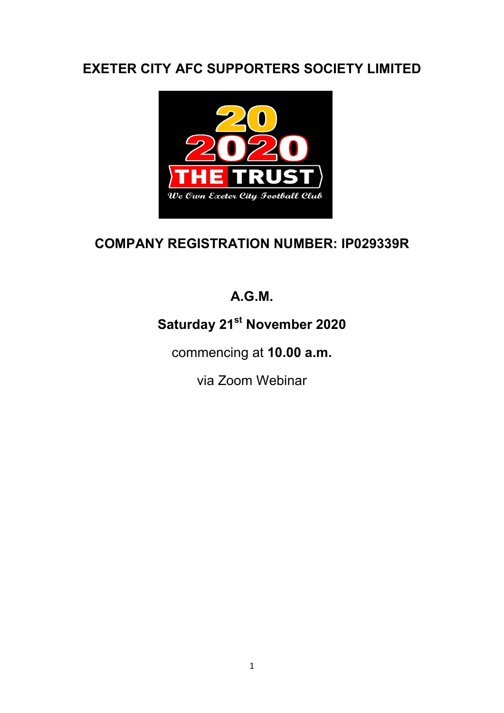## EXETER CITY AFC SUPPORTERS SOCIETY LIMITED



# COMPANY REGISTRATION NUMBER: IP029339R

# A.G.M.

# Saturday 21<sup>st</sup> November 2020

commencing at 10.00 a.m.

via Zoom Webinar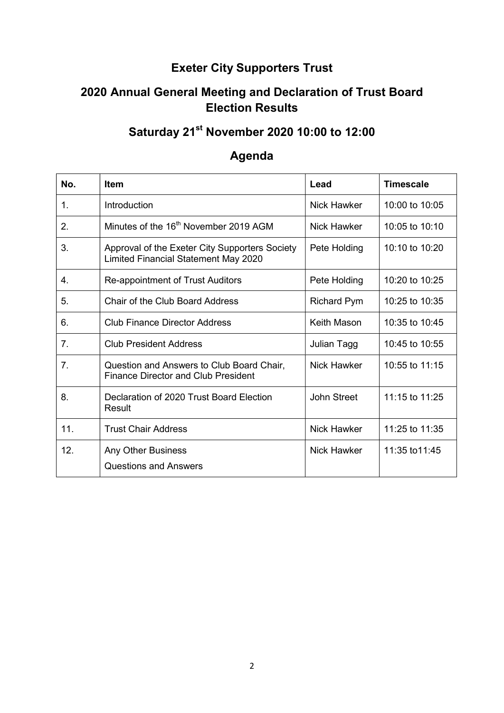#### Exeter City Supporters Trust

#### 2020 Annual General Meeting and Declaration of Trust Board Election Results

# Saturday 21<sup>st</sup> November 2020 10:00 to 12:00

### Agenda

| No.            | <b>Item</b>                                                                                   | Lead               | <b>Timescale</b> |
|----------------|-----------------------------------------------------------------------------------------------|--------------------|------------------|
| $\mathbf{1}$ . | Introduction                                                                                  | Nick Hawker        | 10:00 to 10:05   |
| 2.             | Minutes of the 16 <sup>th</sup> November 2019 AGM                                             | <b>Nick Hawker</b> | 10:05 to 10:10   |
| 3.             | Approval of the Exeter City Supporters Society<br><b>Limited Financial Statement May 2020</b> | Pete Holding       | 10:10 to 10:20   |
| 4.             | Re-appointment of Trust Auditors                                                              | Pete Holding       | 10:20 to 10:25   |
| 5.             | Chair of the Club Board Address                                                               | <b>Richard Pym</b> | 10:25 to 10:35   |
| 6.             | <b>Club Finance Director Address</b>                                                          | <b>Keith Mason</b> | 10:35 to 10:45   |
| 7.             | <b>Club President Address</b>                                                                 | Julian Tagg        | 10:45 to 10:55   |
| 7.             | Question and Answers to Club Board Chair,<br><b>Finance Director and Club President</b>       | <b>Nick Hawker</b> | 10:55 to 11:15   |
| 8.             | Declaration of 2020 Trust Board Election<br>Result                                            | John Street        | 11:15 to 11:25   |
| 11.            | <b>Trust Chair Address</b>                                                                    | <b>Nick Hawker</b> | 11:25 to 11:35   |
| 12.            | <b>Any Other Business</b><br><b>Questions and Answers</b>                                     | Nick Hawker        | 11:35 to 11:45   |